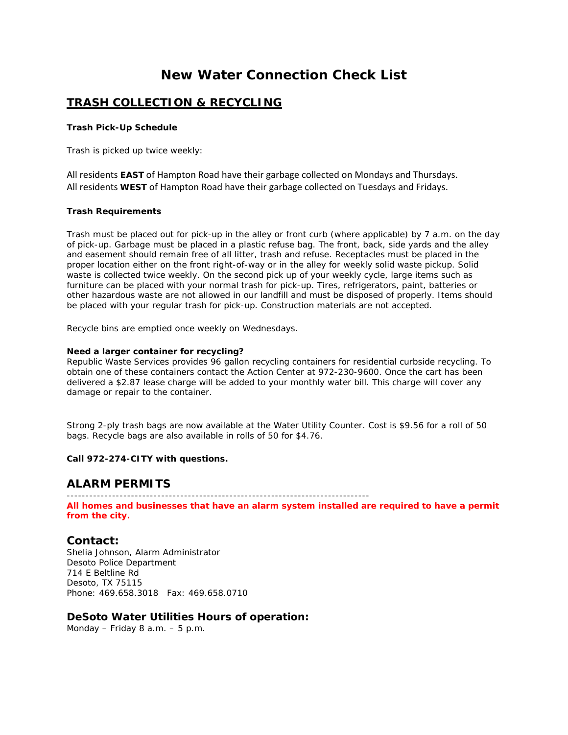# **New Water Connection Check List**

# **TRASH COLLECTION & RECYCLING**

#### **Trash Pick-Up Schedule**

Trash is picked up twice weekly:

All residents **EAST** of Hampton Road have their garbage collected on Mondays and Thursdays. All residents **WEST** of Hampton Road have their garbage collected on Tuesdays and Fridays.

### **Trash Requirements**

Trash must be placed out for pick-up in the alley or front curb (where applicable) by 7 a.m. on the day of pick-up. Garbage must be placed in a plastic refuse bag. The front, back, side yards and the alley and easement should remain free of all litter, trash and refuse. Receptacles must be placed in the proper location either on the front right-of-way or in the alley for weekly solid waste pickup. Solid waste is collected twice weekly. On the second pick up of your weekly cycle, large items such as furniture can be placed with your normal trash for pick-up. Tires, refrigerators, paint, batteries or other hazardous waste are not allowed in our landfill and must be disposed of properly. Items should be placed with your regular trash for pick-up. Construction materials are not accepted.

Recycle bins are emptied once weekly on Wednesdays.

#### **Need a larger container for recycling?**

Republic Waste Services provides 96 gallon recycling containers for residential curbside recycling. To obtain one of these containers contact the Action Center at 972-230-9600. Once the cart has been delivered a \$2.87 lease charge will be added to your monthly water bill. This charge will cover any damage or repair to the container.

Strong 2-ply trash bags are now available at the Water Utility Counter. Cost is \$9.56 for a roll of 50 bags. Recycle bags are also available in rolls of 50 for \$4.76.

### **Call 972-274-CITY with questions.**

## **ALARM PERMITS**

--------------------------------------------------------------------------------

**All homes and businesses that have an alarm system installed are required to have a permit from the city.**

## **Contact:**

Shelia Johnson, Alarm Administrator Desoto Police Department 714 E Beltline Rd Desoto, TX 75115 Phone: 469.658.3018 Fax: 469.658.0710

## **DeSoto Water Utilities Hours of operation:**

Monday – Friday 8 a.m. – 5 p.m.